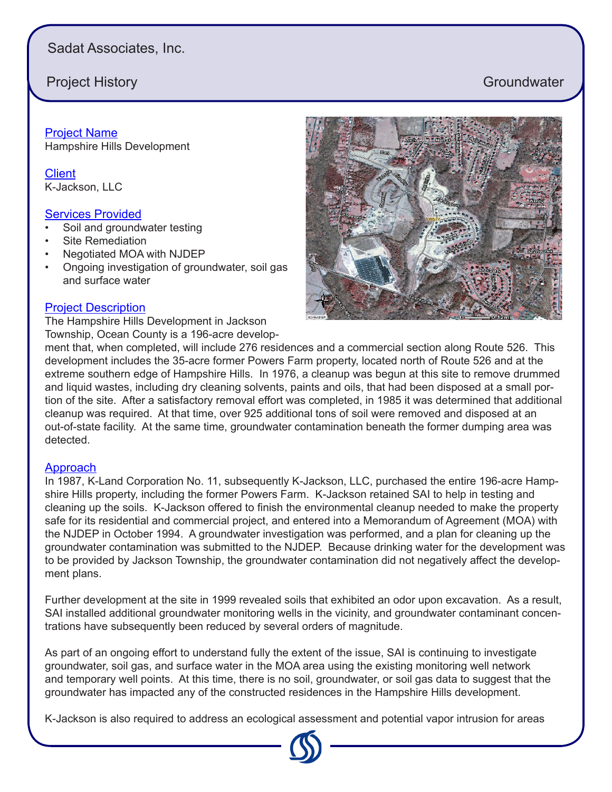# Sadat Associates, Inc.

## Project History **Groundwater** Community Community Community Community Community Community Community Community Community Community Community Community Community Community Community Community Community Community Community Co

Project Name Hampshire Hills Development

**Client** K-Jackson, LLC

### **Services Provided**

- Soil and groundwater testing
- Site Remediation
- Negotiated MOA with NJDEP
- Ongoing investigation of groundwater, soil gas and surface water

## Project Description

The Hampshire Hills Development in Jackson Township, Ocean County is a 196-acre develop-

ment that, when completed, will include 276 residences and a commercial section along Route 526. This development includes the 35-acre former Powers Farm property, located north of Route 526 and at the extreme southern edge of Hampshire Hills. In 1976, a cleanup was begun at this site to remove drummed and liquid wastes, including dry cleaning solvents, paints and oils, that had been disposed at a small portion of the site. After a satisfactory removal effort was completed, in 1985 it was determined that additional cleanup was required. At that time, over 925 additional tons of soil were removed and disposed at an out-of-state facility. At the same time, groundwater contamination beneath the former dumping area was detected.

### **Approach**

In 1987, K-Land Corporation No. 11, subsequently K-Jackson, LLC, purchased the entire 196-acre Hampshire Hills property, including the former Powers Farm. K-Jackson retained SAI to help in testing and cleaning up the soils. K-Jackson offered to finish the environmental cleanup needed to make the property safe for its residential and commercial project, and entered into a Memorandum of Agreement (MOA) with the NJDEP in October 1994. A groundwater investigation was performed, and a plan for cleaning up the groundwater contamination was submitted to the NJDEP. Because drinking water for the development was to be provided by Jackson Township, the groundwater contamination did not negatively affect the development plans.

Further development at the site in 1999 revealed soils that exhibited an odor upon excavation. As a result, SAI installed additional groundwater monitoring wells in the vicinity, and groundwater contaminant concentrations have subsequently been reduced by several orders of magnitude.

As part of an ongoing effort to understand fully the extent of the issue, SAI is continuing to investigate groundwater, soil gas, and surface water in the MOA area using the existing monitoring well network and temporary well points. At this time, there is no soil, groundwater, or soil gas data to suggest that the groundwater has impacted any of the constructed residences in the Hampshire Hills development.

K-Jackson is also required to address an ecological assessment and potential vapor intrusion for areas